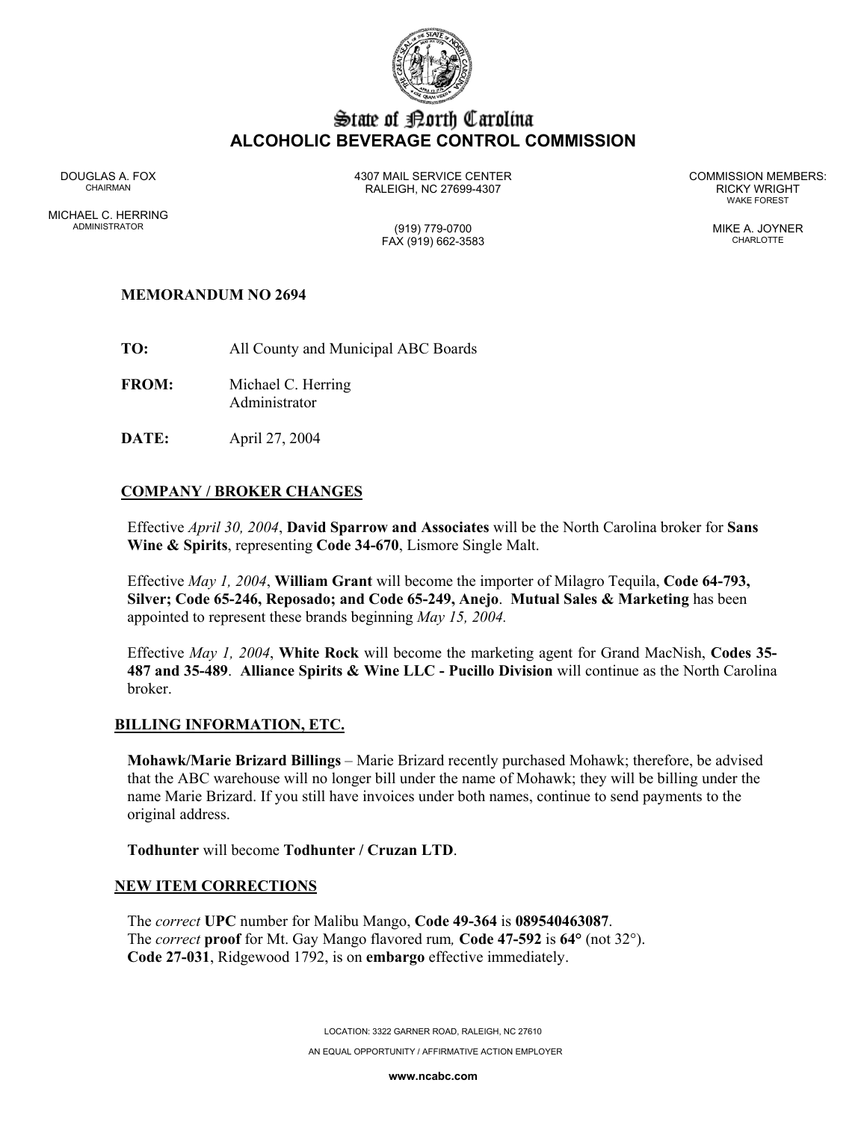

# State of Borth Carolina **ALCOHOLIC BEVERAGE CONTROL COMMISSION**

MICHAEL C. HERRING ADMINISTRATOR (919) 779-0700 MIKE A. JOYNER

DOUGLAS A. FOX 4307 MAIL SERVICE CENTER COMMISSION MEMBERS: CHAIRMAN RALEIGH, NC 27699-4307 RICKY WRIGHT

WAKE FOREST

# FAX (919) 662-3583 CHARLOTTE

# **MEMORANDUM NO 2694**

**TO:** All County and Municipal ABC Boards

**FROM:** Michael C. Herring Administrator

**DATE:** April 27, 2004

## **COMPANY / BROKER CHANGES**

Effective *April 30, 2004*, **David Sparrow and Associates** will be the North Carolina broker for **Sans Wine & Spirits**, representing **Code 34-670**, Lismore Single Malt.

Effective *May 1, 2004*, **William Grant** will become the importer of Milagro Tequila, **Code 64-793, Silver; Code 65-246, Reposado; and Code 65-249, Anejo**. **Mutual Sales & Marketing** has been appointed to represent these brands beginning *May 15, 2004.* 

Effective *May 1, 2004*, **White Rock** will become the marketing agent for Grand MacNish, **Codes 35- 487 and 35-489**. **Alliance Spirits & Wine LLC - Pucillo Division** will continue as the North Carolina broker.

### **BILLING INFORMATION, ETC.**

**Mohawk/Marie Brizard Billings** – Marie Brizard recently purchased Mohawk; therefore, be advised that the ABC warehouse will no longer bill under the name of Mohawk; they will be billing under the name Marie Brizard. If you still have invoices under both names, continue to send payments to the original address.

**Todhunter** will become **Todhunter / Cruzan LTD**.

### **NEW ITEM CORRECTIONS**

The *correct* **UPC** number for Malibu Mango, **Code 49-364** is **089540463087**. The *correct* **proof** for Mt. Gay Mango flavored rum*,* **Code 47-592** is **64°** (not 32°). **Code 27-031**, Ridgewood 1792, is on **embargo** effective immediately.

LOCATION: 3322 GARNER ROAD, RALEIGH, NC 27610

AN EQUAL OPPORTUNITY / AFFIRMATIVE ACTION EMPLOYER

**www.ncabc.com**